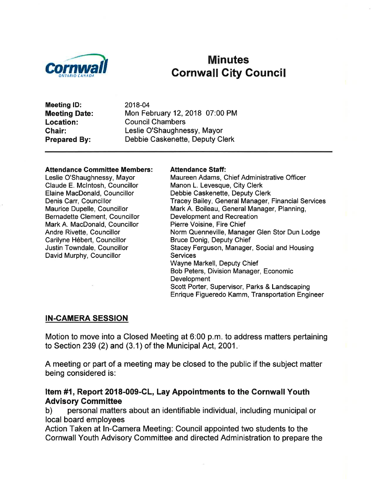

# **Minutes Cornwall City Council**

Meeting lD: Meeting Date: Location: Chair: Prepared By:

2018-04 Mon February 12,2018 07:00 PM Council Chambers Leslie O'Shaughnessy, Mayor Debbie Caskenette, Deputy Clerk

#### Attendance Committee Members:

Leslie O'Shaughnessy, Mayor Claude E. Mclntosh, Councillor Elaine MacDonald, Councillor Denis Carr, Councillor Maurice Dupelle, Councillor Bernadette Clement, Councillor Mark A. MacDonald, Councillor Andre Rivette, Councillor Carilyne Hébert, Councillor Justin Towndale, Councillor David Murphy, Councillor

#### Attendance Staff:

Maureen Adams, Chief Administrative Officer Manon L. Levesque, City Clerk Debbie Caskenette, Deputy Clerk Tracey Bailey, General Manager, Financial Services Mark A. Boileau, General Manager, Planning, Development and Recreation Pierre Voisine, Fire Chief Norm Quenneville, Manager Glen Stor Dun Lodge Bruce Donig, Deputy Chief Stacey Ferguson, Manager, Social and Housing **Services** Wayne Markell, Ðeputy Chief Bob Peters, Division Manager, Economic **Development** Scott Porter, Supervisor, Parks & Landscaping Enrique Figueredo Kamm, Transportation Engineer

#### IN-CAMERA SESSION

Motion to move into a Glosed Meeting at 6:00 p.m. to address matters pertaining to Section 239 (2) and (3.1) of the Municipal Act, 2001.

A meeting or part of a meeting may be closed to the public if the subject matter being considered is:

# Item #1, Report 2018-009-CL, Lay Appointments to the Cornwall Youth Advisory Committee<br>b) personal matters about an identifiable individual, including municipal or

local board employees

Action Taken at ln-Camera Meeting: Council appointed two students to the Cornwall Youth Advisory Committee and directed Administration to prepare the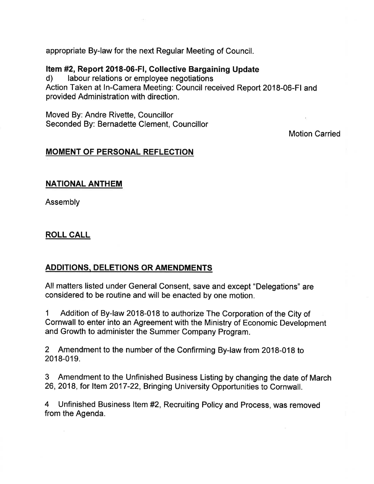appropriate By-law for the next Regular Meeting of Council.

# Item #2, Report 2018-06-FI, Collective Bargaining Update<br>d) labour relations or employee negotiations

Action Taken at ln-Camera Meeting: Council received Report 2018-06-Fl and provided Administration with direction.

Moved By: Andre Rivette, Councillor Seconded By: Bernadette Clement, Councillor

Motion Carried

## MOMENT OF PERSONAL REFLECTION

#### NATIONAL ANTHEM

Assembly

## ROLL CALL

## ADDITIONS- DELETIONS OR AMENDMENTS

All matters listed under General Consent, save and except "Delegations" are considered to be routine and will be enacted by one motion.

1 Addition of By-law 2018-018 to authorize The Corporation of the City of Cornwall to enter into an Agreement with the Ministry of Economic Development and Growth to administer the Summer Company Program.

2 Amendment to the number of the Confirming By-law from 2018-018 to 2018-019.

3 Amendment to the Unfinished Business Listing by changing the date of March 26,2018, for ltem 2017-22, Bringing University Opportunities to Cornwall.

4 Unfinished Business ltem #2, Recruiting Policy and Process, was removed from the Agenda.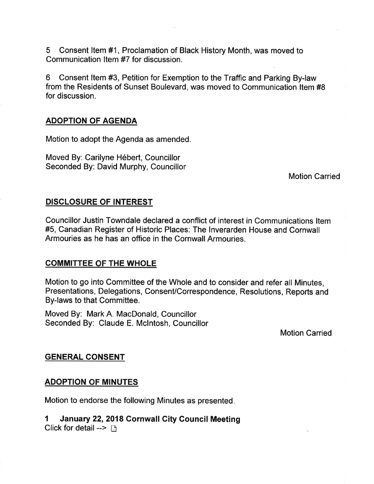5 Consent ltem #1, Proclamation of Black History Month, was moved to Communication ltem #7 for discussion.

6 Consent ltem #3, Petition for Exemption to the Traffic and Parking By-law from the Residents of Sunset Boulevard, was moved to Communication ltem #8 for discussion.

#### ADOPTION OF AGENDA

Motion to adopt the Agenda as amended.

Moved By: Carilyne Hébert, Councillor Seconded By: David Murphy, Councillor

Motion Carried

#### DISCLOSURE OF INTEREST

Councillor Justin Towndale declared a conflict of interest in Communications ltem #5, Canadian Register of Historic Places: The lnverarden House and Gornwall Armouries as he has an office in the Cornwall Armouries.

#### **COMMITTEE OF THE WHOLE**

Motion to go into Committee of the Whole and to consider and refer all Minutes, Presentations, Delegations, Consent/Correspondence, Resolutions, Reports and By-laws to that Committee.

Moved By: Mark A. MacDonald, Councillor Seconded By: Claude E. Mclntosh, Councillor

Motion Carried

#### GENERAL CONSENT

#### **ADOPTION OF MINUTES**

Motion to endorse the following Minutes as presented

## 1 January 22,2018 Cornwall Gity Council Meeting

Click for detail  $\rightarrow$   $\sqrt{2}$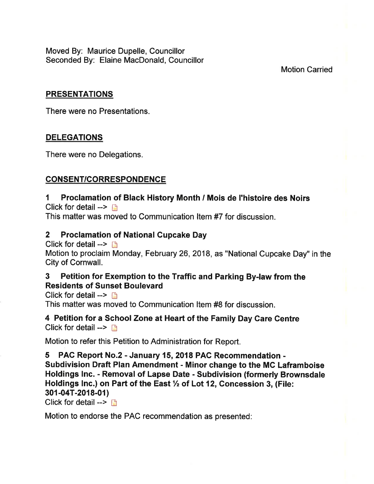Moved By: Maurice Dupelle, Councillor Seconded By: Elaine MacDonald, Councillor

## Motion Carried

## PRESENTATIONS

There were no Presentations.

## **DELEGATIONS**

There were no Delegations.

## CONSENT/CORRESPONDENCE

#### I Proclamation of Black History Month / Mois de I'histoire des Noirs Click for detail  $\rightarrow$   $\rightarrow$

This matter was moved to Communication ltem #7 for discussion.

## 2 Proclamation of National Cupcake Day

Click for detail  $\rightarrow$   $\rightarrow$ 

Motion to proclaim Monday, February 26,2018, as "National Cupcake Day" in the City of Cornwall.

## 3 Petition for Exemption to the Traffic and Parking By-law from the Residents of Sunset Boulevard

Click for detail  $\rightarrow$  D

This matter was moved to Communication ltem #8 for discussion.

4 Petition for a School Zone at Heart of the Family Day Gare Gentre Click for detail  $\rightarrow$  n

Motion to refer this Petition to Administration for Report.

5 PAC Report No.2 - January 15,2018 PAC Recommendation - Subdivision Draft Plan Amendment - Minor change to the MC Laframboise Holdings lnc. - Removal of Lapse Date - Subdivision (formerly Brownsdale Holdings Inc.) on Part of the East  $\frac{1}{2}$  of Lot 12, Concession 3, (File: 301-04T-2018-01)

Click for detail -->  $\Box$ 

Motion to endorse the PAC recommendation as presented: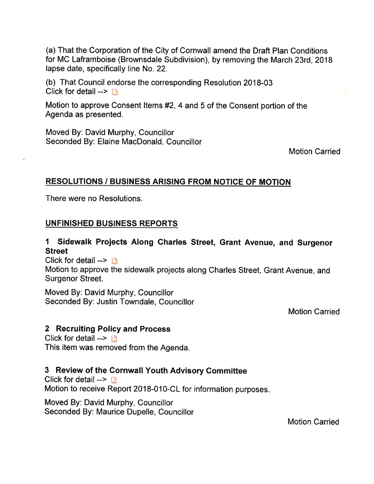(a) That the Corporation of the City of Cornwall amend the Draft Plan Conditions for MC Laframboise (Brownsdale Subdivision), by removing the March 23rd,2018 lapse date, specifically line No. 22.

(b) That Council endorse the corresponding Resolution 2018-03 Click for detail  $\rightarrow$  n

Motion to approve Consent ltems #2, 4 and 5 of the Consent portion of the Agenda as presented.

Moved By: David Murphy, Councillor Seconded By: Elaine MacDonald, Councillor

Motion Carried

#### RESOLUTIONS / BUSINESS ARISING FROM NOTICE OF MOTION

There were no Resolutions.

#### UNFINISHED BUSINESS REPORTS

## 1 Sidewalk Projects Along Charles Street, Grant Avenue, and Surgenor Street

Click for detail  $\rightarrow$  [3]

Motion to approve the sidewalk projects along Charles Street, Grant Avenue, and Surgenor Street.

Moved By: David Murphy, Councillor Seconded By: Justin Towndale, Councillor

Motion Carried

#### 2 Recruiting Policy and Process

Click for detail  $\rightarrow$   $\rightarrow$ This item was removed from the Agenda.

## 3 Review of the Gornwall Youth Advisory Gommittee

Click for detail  $\rightarrow$  n Motion to receive Report 2018-010-CL for information purposes.

Moved By: David Murphy, Councillor Seconded By: Maurice Dupelle, Councillor

Motion Carried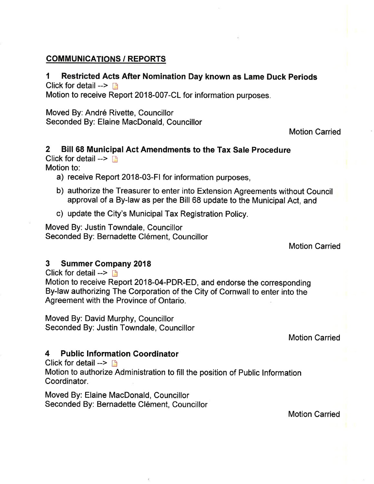## **COMMUNICATIONS / REPORTS**

#### I Restricted Acts After Nomination Day known as Lame Duck Periods Click for detail  $\rightarrow$   $\rightarrow$

Motion to receive Report 2018-007-CL for information purposes.

Moved By: André Rivette, Councillor Seconded By: Elaine MacDonald, Councillor

Motion Carried

#### 2 Bill 68 Municipal Act Amendments to the Tax Sale Procedure Click for detail  $\rightarrow$

Motion to:

- a) receive Report 2018-03-Fl for information purposes,
- b) authorize the Treasurer to enter into Extension Agreements without Council approval of a By-law as per the Bill 68 update to the Municipal Act, and
- c) update the City's Municipal Tax Registration Policy.

Moved By: Justin Towndale, Councillor Seconded By: Bernadette Clément, Councillor

Motion Carried

## 3 Summer Gompany <sup>2018</sup>

Click for detail  $\rightarrow$  n Motion to receive Report 2018-04-PDR-ED, and endorse the corresponding By-law authorizing The Corporation of the City of Cornwall to enter into the Agreement with the Province of Ontario.

Moved By: David Murphy, Councillor Seconded By: Justin Towndale, Councillor

Motion Garried

## 4 Public Information Coordinator

Click for detail  $\rightarrow$  n

Motion to authorize Administration to fill the position of Public lnformation Coordinator.

Moved By: Elaine MacDonald, Councillor Seconded By: Bernadette Clément, Councillor

Motion Carried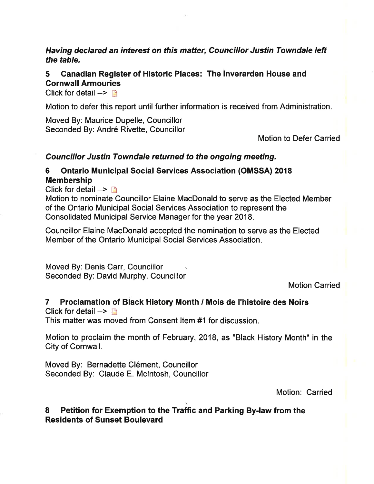## Having declared an interest on this matter, Councillor Justin Towndale left the table.

## 5 Ganadian Register of Historic Places: The lnverarden House and Cornwall Armouries

Click for detail  $\rightarrow$  n

Motion to defer this report until further information is received from Administration.

Moved By: Maurice Dupelle, Councillor Seconded By: André Rivette, Councillor

Motion to Defer Carried

#### Councillor Justin Towndale returned to the ongoing meeting.

## 6 Ontario Municipal Social Services Association (OMSSA) <sup>2018</sup>

Membership

Click for detail  $\rightarrow \Box$ 

Motion to nominate Councillor Elaine MacDonald to serve as the Elected Member of the Ontario Municipal Social Services Association to represent the Consolidated Municipal Service Manager for the year 2018.

Gouncillor Elaine MacDonald accepted the nomination to serve as the Elected Member of the Ontario Municipal Social Services Association.

Moved By: Denis Carr, Councillor . Seconded By: David Murphy, Councillor

Motion Carried

## 7 Proclamation of Black History Month / Mois de I'histoire des Noirs

Click for detail  $\rightarrow$   $\rightarrow$ 

This matter was moved from Consent ltem #1 for discussion.

Motion to proclaim the month of February,2018, as "Black History Month" in the City of Cornwall.

Moved By: Bernadette Clément, Councillor Seconded By: Claude E. Mclntosh, Councillor

Motion: Carried

## 8 Petition for Exemption to the Traffic and Parking By-law from the Residents of Sunset Boulevard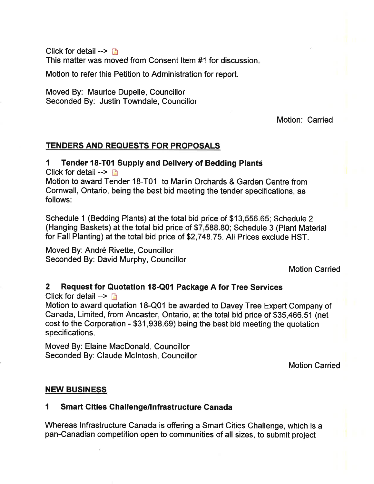Click for detail  $\rightarrow$  n This matter was moved from Consent ltem #1 for discussion

Motion to refer this Petition to Administration for report.

Moved By: Maurice Dupelle, Councillor Seconded By: Justin Towndale, Councillor

Motion: Carried

## TENDERS AND REOUESTS FOR PROPOSALS

## 1 Tender 18-T01 Supply and Delivery of Bedding Planté

Click for detail  $\rightarrow$  n

Motion to award Tender 18-T01 to Marlin Orchards & Garden Centre from Cornwall, Ontario, being the best bid meeting the tender specifications, as follows:

Schedule 1 (Bedding Plants) at the total bid price of \$13,556.65; Schedule 2 (Hanging Baskets) at the total bid price of \$7,588.80; Schedule 3 (Plant Material for Fall Planting) at the total bid price of \$2,748.75. All Prices exclude HST.

Moved By: André Rivette, Councillor Seconded By: David Murphy, Councillor

Motion Carried

## 2 Request for Quotation l8-Q01 Package A for Tree Services

Click for detail  $\rightarrow$  n

Motion to award quotation 18-Q01 be awarded to Davey Tree Expert Company of Canada, Limited, from Ancaster, Ontario, at the total bid price of \$35,466.51 (net cost to the Corporation - \$31,938.69) being the best bid meeting the quotation specifications.

Moved By: Elaine MacDonald, Councillor Seconded By: Claude Mclntosh, Councillor

Motion Carried

## NEW BUSINESS

## 1 Smart Cities Challenge/Infrastructure Canada

Whereas lnfrastructure Canada is offering a Smart Cities Challenge, which is a pan-Canadian competition open to communities of all sizes, to submit project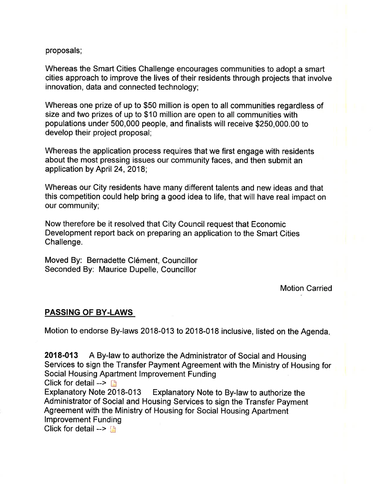proposals;

Whereas the Smart Cities Challenge encourages communities to adopt a smart cities approach to improve the lives of their residents through projects that involve innovation, data and connected technology;

Whereas one prize of up to \$50 million is open to all communities regardless of size and two prizes of up to \$10 million are open to all communities with populations under 500,000 people, and finalists will receive \$250,000.00 to develop their project proposal;

Whereas the application process requires that we first engage with residents about the most pressing issues our community faces, and then submit an application by April 24,2018;

Whereas our City residents have many different talents and new ideas and that this competition could help bring a good idea to life, that will have real impact on our community;

Now therefore be it resolved that City Council request that Economic Development report back on preparing an application to the Smart Cities Challenge.

Moved By: Bernadette Clément, Councillor Seconded By: Maurice Dupelle, Councillor

Motion Carried

## PASSING OF BY.LAWS

Motion to endorse By-laws 2018-013 to 2018-018 inclusive, listed on the Agenda

2018-013 A By-law to authorize the Administrator of Social and Housing Services to sign the Transfer Payment Agreement with the Ministry of Housing for Social Housing Apartment lmprovement Funding

Click for detail -->  $\Box$ <br>Explanatory Note 2018-013 Explanatory Note to By-law to authorize the Administrator of Social and Housing Services to sign the Transfer Payment Agreement with the Ministry of Housing for Social Housing Apartment lmprovement Funding Click for detail  $--$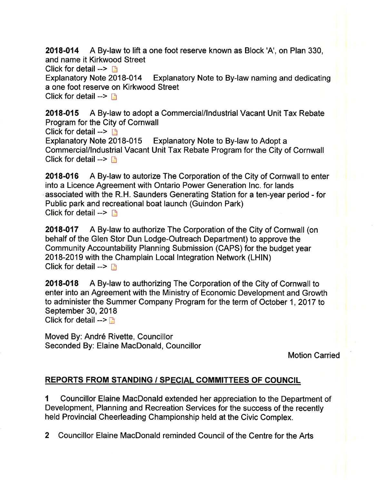2018-014 A By-law to lift a one foot reserve known as Block 'A', on Plan 330, and name it Kirkwood Street Click for detail -->  $\Box$ <br>Explanatory Note 2018-014 Explanatory Note to By-law naming and dedicating a one foot reserve on Kirkwood Street Click for detail  $\rightarrow \rightarrow$ 

2018-015 A By-law to adopt a Commercial/lndustrial Vacant Unit Tax Rebate Program for the City of Cornwall Click for detail -->  $\Box$ <br>Explanatory Note 2018-015 Explanatory Note to By-law to Adopt a Commercial/lndustrial Vacant Unit Tax Rebate Program for the City of Cornwall Click for detail  $\rightarrow$  D

2018-016 A By-law to autorize The Corporation of the City of Cornwall to enter into a Licence Agreement with Ontario Power Generation Inc. for lands associated with the R.H. Saunders Generating Station for a ten-year period - for Public park and recreational boat launch (Guindon Park) Click for detail -->  $\Box$ 

2018-017 A By-law to authorize The Corporation of the City of Cornwall (on behalf of the Glen Stor Dun Lodge-Outreach Department) to approve the Community Accountability Planning Submission (CAPS) for the budget year 2018-2019 with the Champlain Local Integration Network (LHIN) Click for detail  $\rightarrow$  n

2018-018 A By-law to authorizing The Corporation of the City of Cornwall to enter into an Agreement with the Ministry of Economic Development and Growth to administer the Summer Company Program for the term of October 1,2017 to September 30, 2018 Click for detail  $\rightarrow$   $\rightarrow$ 

Moved By: André Rivette, Gouncillor Seconded By: Elaine MacDonald, Councillor

Motion Carried

## REPORTS FROM STANDING / SPECIAL COMMITTEES OF COUNCIL

I Councillor Elaine MacDonald extended her appreciation to the Department of Development, Planning and Recreation Services for the success of the recently held Provincial Cheerleading Championship held at the Civic Complex.

2 Councillor Elaine MacDonald reminded Council of the Centre for the Arts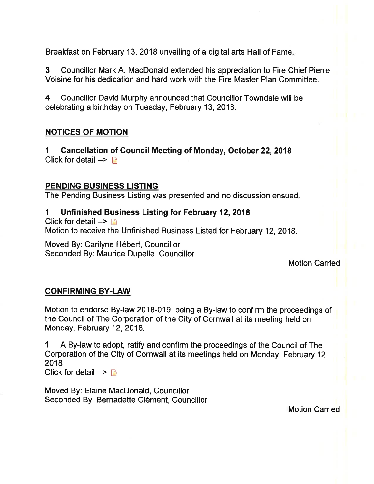Breakfast on February 13, 2018 unveiling of a digital arts Hall of Fame.

3 Councillor Mark A. MacDonald extended his appreciation to Fire Chief Pierre Voisine for his dedication and hard work with the Fire Master Plan Committee.

4 Councillor David Murphy announced that Councillor Towndale will be celebrating a birthday on Tuesday, February 13,2018.

## NOTICES OF MOTION

1 Cancellation of Gouncil Meeting of Monday, October 22,2018 Click for detail  $\rightarrow$  n

## PENDING BUSINESS LISTING

The Pending Business Listing was presented and no discussion ensued

#### I Unfinished Business Listing for February 12,2018

Click for detail  $\rightarrow \rightarrow$ Motion to receive the Unfinished Business Listed for February 12,2018.

Moved By: Carilyne Hébert, Councillor Seconded By: Maurice Dupelle, Councillor

## Motion Carried

## CONFIRMING BY.LAW

Motion to endorse By-law 2018-019, being a By-law to confirm the proceedings of the Council of The Corporation of the City of Cornwall at its meeting held on Monday, February 12, 2018.

I <sup>A</sup>By-law to adopt, ratify and confirm the proceedings of the Council of The Corporation of the City of Cornwall at its meetings held on Monday, February 12, 2018

Click for detail  $\rightarrow$   $\rightarrow$ 

Moved By: Elaine MacDonald, Councillor Seconded By: Bernadette Glément, Councillor

Motion Carried